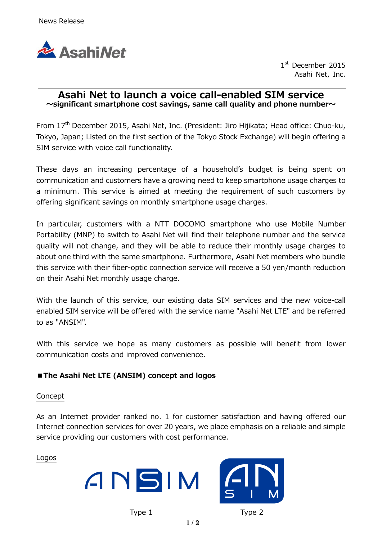

1st December 2015 Asahi Net, Inc.

## Asahi Net to launch a voice call-enabled SIM service  $\sim$ significant smartphone cost savings, same call quality and phone number $\sim$

From 17th December 2015, Asahi Net, Inc. (President: Jiro Hijikata; Head office: Chuo-ku, Tokyo, Japan; Listed on the first section of the Tokyo Stock Exchange) will begin offering a SIM service with voice call functionality.

These days an increasing percentage of a household's budget is being spent on communication and customers have a growing need to keep smartphone usage charges to a minimum. This service is aimed at meeting the requirement of such customers by offering significant savings on monthly smartphone usage charges.

In particular, customers with a NTT DOCOMO smartphone who use Mobile Number Portability (MNP) to switch to Asahi Net will find their telephone number and the service quality will not change, and they will be able to reduce their monthly usage charges to about one third with the same smartphone. Furthermore, Asahi Net members who bundle this service with their fiber-optic connection service will receive a 50 yen/month reduction on their Asahi Net monthly usage charge.

With the launch of this service, our existing data SIM services and the new voice-call enabled SIM service will be offered with the service name "Asahi Net LTE" and be referred to as "ANSIM".

With this service we hope as many customers as possible will benefit from lower communication costs and improved convenience.

# ■The Asahi Net LTE (ANSIM) concept and logos

#### Concept

As an Internet provider ranked no. 1 for customer satisfaction and having offered our Internet connection services for over 20 years, we place emphasis on a reliable and simple service providing our customers with cost performance.

#### Logos





Type 1